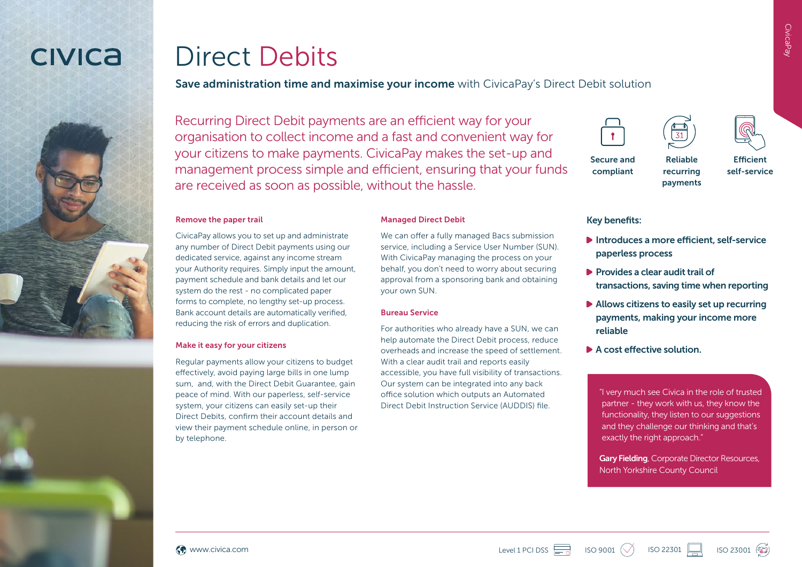## **CIVICA**



## Direct Debits

#### Save administration time and maximise your income with CivicaPay's Direct Debit solution

Recurring Direct Debit payments are an efficient way for your organisation to collect income and a fast and convenient way for your citizens to make payments. CivicaPay makes the set-up and management process simple and efficient, ensuring that your funds are received as soon as possible, without the hassle.

#### Remove the paper trail

CivicaPay allows you to set up and administrate any number of Direct Debit payments using our dedicated service, against any income stream your Authority requires. Simply input the amount, payment schedule and bank details and let our system do the rest - no complicated paper forms to complete, no lengthy set-up process. Bank account details are automatically verified, reducing the risk of errors and duplication.

#### Make it easy for your citizens

Regular payments allow your citizens to budget effectively, avoid paying large bills in one lump sum, and, with the Direct Debit Guarantee, gain peace of mind. With our paperless, self-service system, your citizens can easily set-up their Direct Debits, confirm their account details and view their payment schedule online, in person or by telephone.

#### Managed Direct Debit

We can offer a fully managed Bacs submission service, including a Service User Number (SUN). With CivicaPay managing the process on your behalf, you don't need to worry about securing approval from a sponsoring bank and obtaining your own SUN.

#### Bureau Service

For authorities who already have a SUN, we can help automate the Direct Debit process, reduce overheads and increase the speed of settlement. With a clear audit trail and reports easily accessible, you have full visibility of transactions. Our system can be integrated into any back office solution which outputs an Automated Direct Debit Instruction Service (AUDDIS) file.







Secure and

Reliable recurring payments

**Efficient** self-service

#### Key benefits:

compliant

- Introduces a more efficient, self-service paperless process
- $\blacktriangleright$  Provides a clear audit trail of transactions, saving time when reporting
- Allows citizens to easily set up recurring payments, making your income more reliable
- A cost effective solution

"I very much see Civica in the role of trusted partner - they work with us, they know the functionality, they listen to our suggestions and they challenge our thinking and that's exactly the right approach."

**Gary Fielding**, Corporate Director Resources, North Yorkshire County Council